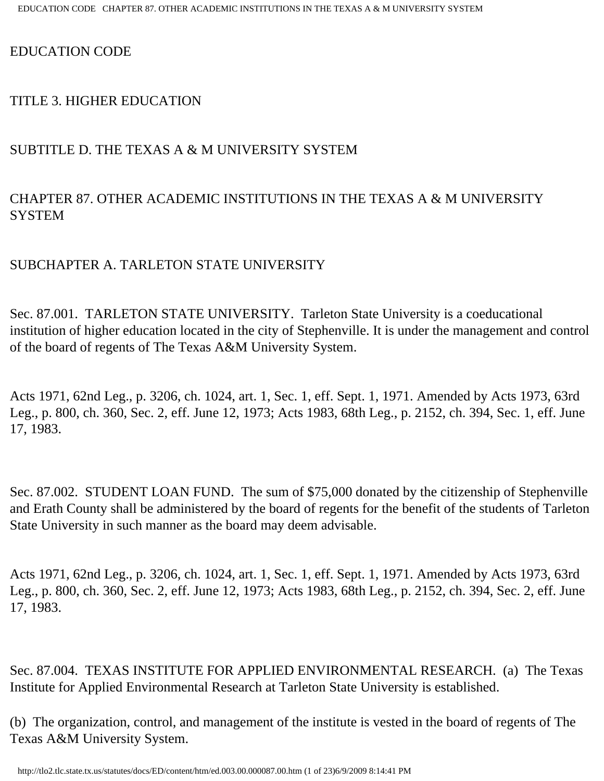#### EDUCATION CODE

#### TITLE 3. HIGHER EDUCATION

### SUBTITLE D. THE TEXAS A & M UNIVERSITY SYSTEM

## CHAPTER 87. OTHER ACADEMIC INSTITUTIONS IN THE TEXAS A & M UNIVERSITY **SYSTEM**

### SUBCHAPTER A. TARLETON STATE UNIVERSITY

Sec. 87.001. TARLETON STATE UNIVERSITY. Tarleton State University is a coeducational institution of higher education located in the city of Stephenville. It is under the management and control of the board of regents of The Texas A&M University System.

Acts 1971, 62nd Leg., p. 3206, ch. 1024, art. 1, Sec. 1, eff. Sept. 1, 1971. Amended by Acts 1973, 63rd Leg., p. 800, ch. 360, Sec. 2, eff. June 12, 1973; Acts 1983, 68th Leg., p. 2152, ch. 394, Sec. 1, eff. June 17, 1983.

Sec. 87.002. STUDENT LOAN FUND. The sum of \$75,000 donated by the citizenship of Stephenville and Erath County shall be administered by the board of regents for the benefit of the students of Tarleton State University in such manner as the board may deem advisable.

Acts 1971, 62nd Leg., p. 3206, ch. 1024, art. 1, Sec. 1, eff. Sept. 1, 1971. Amended by Acts 1973, 63rd Leg., p. 800, ch. 360, Sec. 2, eff. June 12, 1973; Acts 1983, 68th Leg., p. 2152, ch. 394, Sec. 2, eff. June 17, 1983.

Sec. 87.004. TEXAS INSTITUTE FOR APPLIED ENVIRONMENTAL RESEARCH. (a) The Texas Institute for Applied Environmental Research at Tarleton State University is established.

(b) The organization, control, and management of the institute is vested in the board of regents of The Texas A&M University System.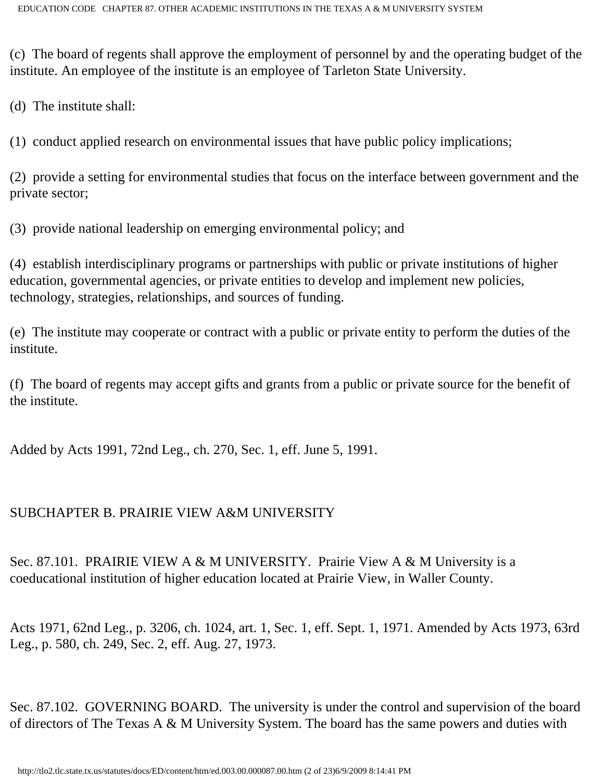(c) The board of regents shall approve the employment of personnel by and the operating budget of the institute. An employee of the institute is an employee of Tarleton State University.

(d) The institute shall:

(1) conduct applied research on environmental issues that have public policy implications;

(2) provide a setting for environmental studies that focus on the interface between government and the private sector;

(3) provide national leadership on emerging environmental policy; and

(4) establish interdisciplinary programs or partnerships with public or private institutions of higher education, governmental agencies, or private entities to develop and implement new policies, technology, strategies, relationships, and sources of funding.

(e) The institute may cooperate or contract with a public or private entity to perform the duties of the institute.

(f) The board of regents may accept gifts and grants from a public or private source for the benefit of the institute.

Added by Acts 1991, 72nd Leg., ch. 270, Sec. 1, eff. June 5, 1991.

### SUBCHAPTER B. PRAIRIE VIEW A&M UNIVERSITY

Sec. 87.101. PRAIRIE VIEW A & M UNIVERSITY. Prairie View A & M University is a coeducational institution of higher education located at Prairie View, in Waller County.

Acts 1971, 62nd Leg., p. 3206, ch. 1024, art. 1, Sec. 1, eff. Sept. 1, 1971. Amended by Acts 1973, 63rd Leg., p. 580, ch. 249, Sec. 2, eff. Aug. 27, 1973.

Sec. 87.102. GOVERNING BOARD. The university is under the control and supervision of the board of directors of The Texas A & M University System. The board has the same powers and duties with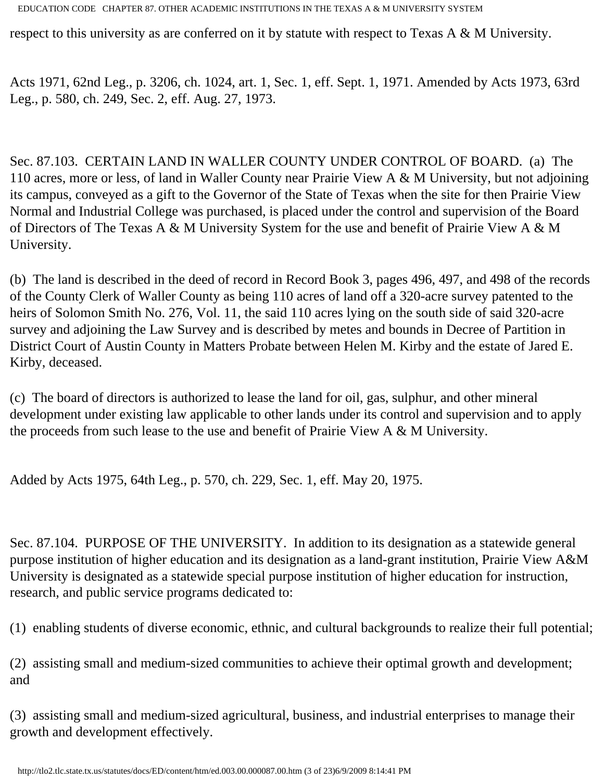respect to this university as are conferred on it by statute with respect to Texas A & M University.

Acts 1971, 62nd Leg., p. 3206, ch. 1024, art. 1, Sec. 1, eff. Sept. 1, 1971. Amended by Acts 1973, 63rd Leg., p. 580, ch. 249, Sec. 2, eff. Aug. 27, 1973.

Sec. 87.103. CERTAIN LAND IN WALLER COUNTY UNDER CONTROL OF BOARD. (a) The 110 acres, more or less, of land in Waller County near Prairie View A & M University, but not adjoining its campus, conveyed as a gift to the Governor of the State of Texas when the site for then Prairie View Normal and Industrial College was purchased, is placed under the control and supervision of the Board of Directors of The Texas A & M University System for the use and benefit of Prairie View A & M University.

(b) The land is described in the deed of record in Record Book 3, pages 496, 497, and 498 of the records of the County Clerk of Waller County as being 110 acres of land off a 320-acre survey patented to the heirs of Solomon Smith No. 276, Vol. 11, the said 110 acres lying on the south side of said 320-acre survey and adjoining the Law Survey and is described by metes and bounds in Decree of Partition in District Court of Austin County in Matters Probate between Helen M. Kirby and the estate of Jared E. Kirby, deceased.

(c) The board of directors is authorized to lease the land for oil, gas, sulphur, and other mineral development under existing law applicable to other lands under its control and supervision and to apply the proceeds from such lease to the use and benefit of Prairie View A & M University.

Added by Acts 1975, 64th Leg., p. 570, ch. 229, Sec. 1, eff. May 20, 1975.

Sec. 87.104. PURPOSE OF THE UNIVERSITY. In addition to its designation as a statewide general purpose institution of higher education and its designation as a land-grant institution, Prairie View A&M University is designated as a statewide special purpose institution of higher education for instruction, research, and public service programs dedicated to:

(1) enabling students of diverse economic, ethnic, and cultural backgrounds to realize their full potential;

(2) assisting small and medium-sized communities to achieve their optimal growth and development; and

(3) assisting small and medium-sized agricultural, business, and industrial enterprises to manage their growth and development effectively.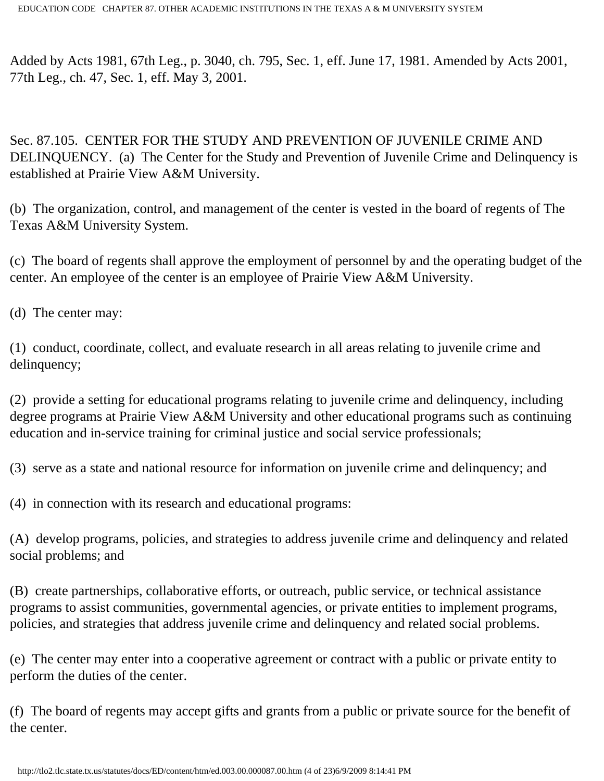Added by Acts 1981, 67th Leg., p. 3040, ch. 795, Sec. 1, eff. June 17, 1981. Amended by Acts 2001, 77th Leg., ch. 47, Sec. 1, eff. May 3, 2001.

Sec. 87.105. CENTER FOR THE STUDY AND PREVENTION OF JUVENILE CRIME AND DELINQUENCY. (a) The Center for the Study and Prevention of Juvenile Crime and Delinquency is established at Prairie View A&M University.

(b) The organization, control, and management of the center is vested in the board of regents of The Texas A&M University System.

(c) The board of regents shall approve the employment of personnel by and the operating budget of the center. An employee of the center is an employee of Prairie View A&M University.

(d) The center may:

(1) conduct, coordinate, collect, and evaluate research in all areas relating to juvenile crime and delinquency;

(2) provide a setting for educational programs relating to juvenile crime and delinquency, including degree programs at Prairie View A&M University and other educational programs such as continuing education and in-service training for criminal justice and social service professionals;

(3) serve as a state and national resource for information on juvenile crime and delinquency; and

(4) in connection with its research and educational programs:

(A) develop programs, policies, and strategies to address juvenile crime and delinquency and related social problems; and

(B) create partnerships, collaborative efforts, or outreach, public service, or technical assistance programs to assist communities, governmental agencies, or private entities to implement programs, policies, and strategies that address juvenile crime and delinquency and related social problems.

(e) The center may enter into a cooperative agreement or contract with a public or private entity to perform the duties of the center.

(f) The board of regents may accept gifts and grants from a public or private source for the benefit of the center.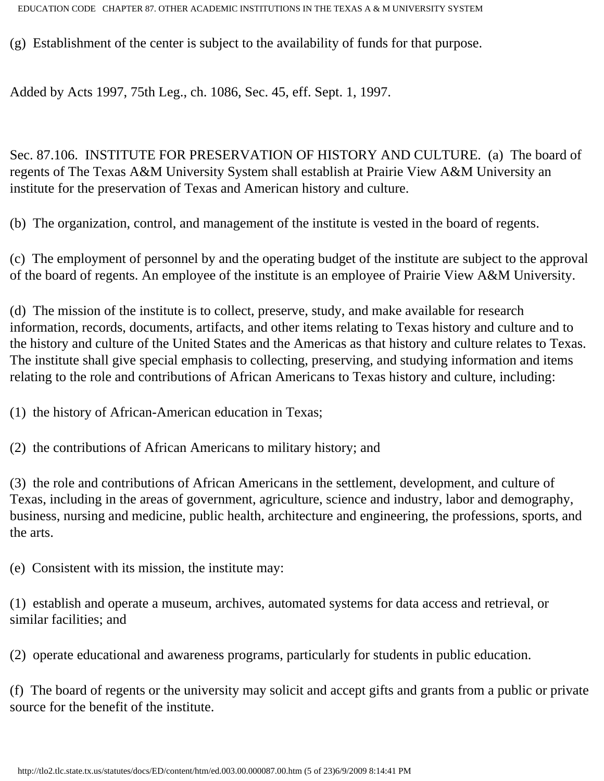(g) Establishment of the center is subject to the availability of funds for that purpose.

Added by Acts 1997, 75th Leg., ch. 1086, Sec. 45, eff. Sept. 1, 1997.

Sec. 87.106. INSTITUTE FOR PRESERVATION OF HISTORY AND CULTURE. (a) The board of regents of The Texas A&M University System shall establish at Prairie View A&M University an institute for the preservation of Texas and American history and culture.

(b) The organization, control, and management of the institute is vested in the board of regents.

(c) The employment of personnel by and the operating budget of the institute are subject to the approval of the board of regents. An employee of the institute is an employee of Prairie View A&M University.

(d) The mission of the institute is to collect, preserve, study, and make available for research information, records, documents, artifacts, and other items relating to Texas history and culture and to the history and culture of the United States and the Americas as that history and culture relates to Texas. The institute shall give special emphasis to collecting, preserving, and studying information and items relating to the role and contributions of African Americans to Texas history and culture, including:

(1) the history of African-American education in Texas;

(2) the contributions of African Americans to military history; and

(3) the role and contributions of African Americans in the settlement, development, and culture of Texas, including in the areas of government, agriculture, science and industry, labor and demography, business, nursing and medicine, public health, architecture and engineering, the professions, sports, and the arts.

(e) Consistent with its mission, the institute may:

(1) establish and operate a museum, archives, automated systems for data access and retrieval, or similar facilities; and

(2) operate educational and awareness programs, particularly for students in public education.

(f) The board of regents or the university may solicit and accept gifts and grants from a public or private source for the benefit of the institute.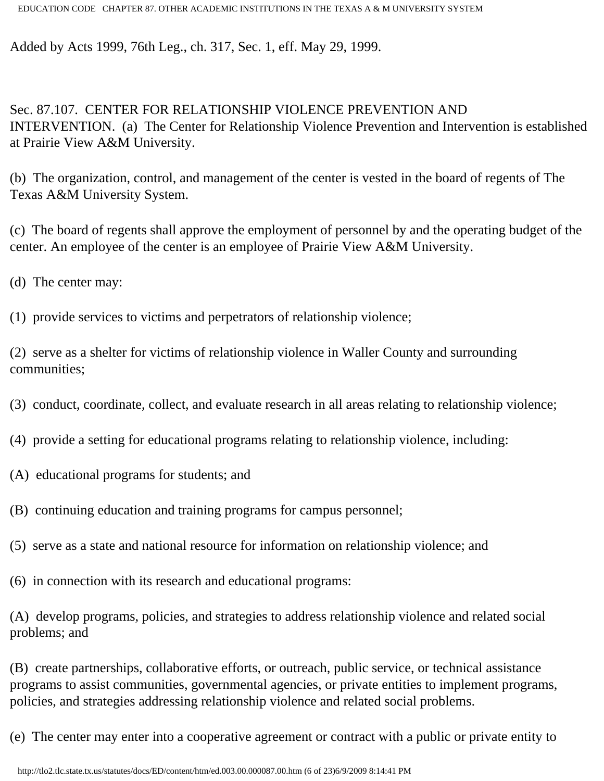Added by Acts 1999, 76th Leg., ch. 317, Sec. 1, eff. May 29, 1999.

Sec. 87.107. CENTER FOR RELATIONSHIP VIOLENCE PREVENTION AND INTERVENTION. (a) The Center for Relationship Violence Prevention and Intervention is established at Prairie View A&M University.

(b) The organization, control, and management of the center is vested in the board of regents of The Texas A&M University System.

(c) The board of regents shall approve the employment of personnel by and the operating budget of the center. An employee of the center is an employee of Prairie View A&M University.

(d) The center may:

(1) provide services to victims and perpetrators of relationship violence;

(2) serve as a shelter for victims of relationship violence in Waller County and surrounding communities;

- (3) conduct, coordinate, collect, and evaluate research in all areas relating to relationship violence;
- (4) provide a setting for educational programs relating to relationship violence, including:
- (A) educational programs for students; and
- (B) continuing education and training programs for campus personnel;
- (5) serve as a state and national resource for information on relationship violence; and
- (6) in connection with its research and educational programs:

(A) develop programs, policies, and strategies to address relationship violence and related social problems; and

(B) create partnerships, collaborative efforts, or outreach, public service, or technical assistance programs to assist communities, governmental agencies, or private entities to implement programs, policies, and strategies addressing relationship violence and related social problems.

(e) The center may enter into a cooperative agreement or contract with a public or private entity to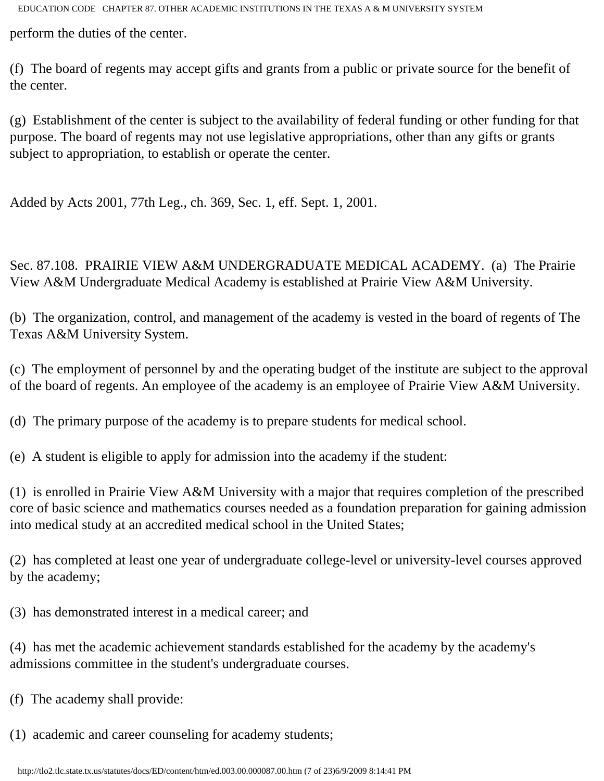perform the duties of the center.

(f) The board of regents may accept gifts and grants from a public or private source for the benefit of the center.

(g) Establishment of the center is subject to the availability of federal funding or other funding for that purpose. The board of regents may not use legislative appropriations, other than any gifts or grants subject to appropriation, to establish or operate the center.

Added by Acts 2001, 77th Leg., ch. 369, Sec. 1, eff. Sept. 1, 2001.

Sec. 87.108. PRAIRIE VIEW A&M UNDERGRADUATE MEDICAL ACADEMY. (a) The Prairie View A&M Undergraduate Medical Academy is established at Prairie View A&M University.

(b) The organization, control, and management of the academy is vested in the board of regents of The Texas A&M University System.

(c) The employment of personnel by and the operating budget of the institute are subject to the approval of the board of regents. An employee of the academy is an employee of Prairie View A&M University.

(d) The primary purpose of the academy is to prepare students for medical school.

(e) A student is eligible to apply for admission into the academy if the student:

(1) is enrolled in Prairie View A&M University with a major that requires completion of the prescribed core of basic science and mathematics courses needed as a foundation preparation for gaining admission into medical study at an accredited medical school in the United States;

(2) has completed at least one year of undergraduate college-level or university-level courses approved by the academy;

(3) has demonstrated interest in a medical career; and

(4) has met the academic achievement standards established for the academy by the academy's admissions committee in the student's undergraduate courses.

(f) The academy shall provide:

(1) academic and career counseling for academy students;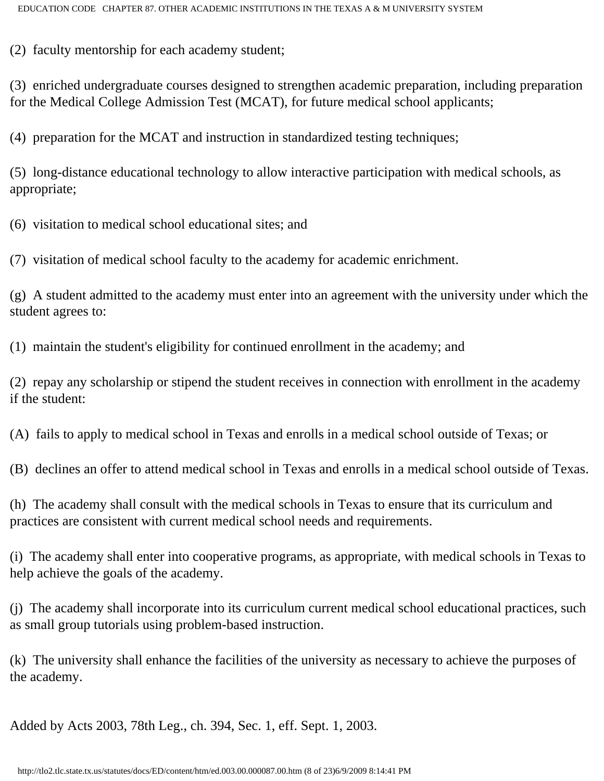(2) faculty mentorship for each academy student;

(3) enriched undergraduate courses designed to strengthen academic preparation, including preparation for the Medical College Admission Test (MCAT), for future medical school applicants;

(4) preparation for the MCAT and instruction in standardized testing techniques;

(5) long-distance educational technology to allow interactive participation with medical schools, as appropriate;

(6) visitation to medical school educational sites; and

(7) visitation of medical school faculty to the academy for academic enrichment.

(g) A student admitted to the academy must enter into an agreement with the university under which the student agrees to:

(1) maintain the student's eligibility for continued enrollment in the academy; and

(2) repay any scholarship or stipend the student receives in connection with enrollment in the academy if the student:

(A) fails to apply to medical school in Texas and enrolls in a medical school outside of Texas; or

(B) declines an offer to attend medical school in Texas and enrolls in a medical school outside of Texas.

(h) The academy shall consult with the medical schools in Texas to ensure that its curriculum and practices are consistent with current medical school needs and requirements.

(i) The academy shall enter into cooperative programs, as appropriate, with medical schools in Texas to help achieve the goals of the academy.

(j) The academy shall incorporate into its curriculum current medical school educational practices, such as small group tutorials using problem-based instruction.

(k) The university shall enhance the facilities of the university as necessary to achieve the purposes of the academy.

Added by Acts 2003, 78th Leg., ch. 394, Sec. 1, eff. Sept. 1, 2003.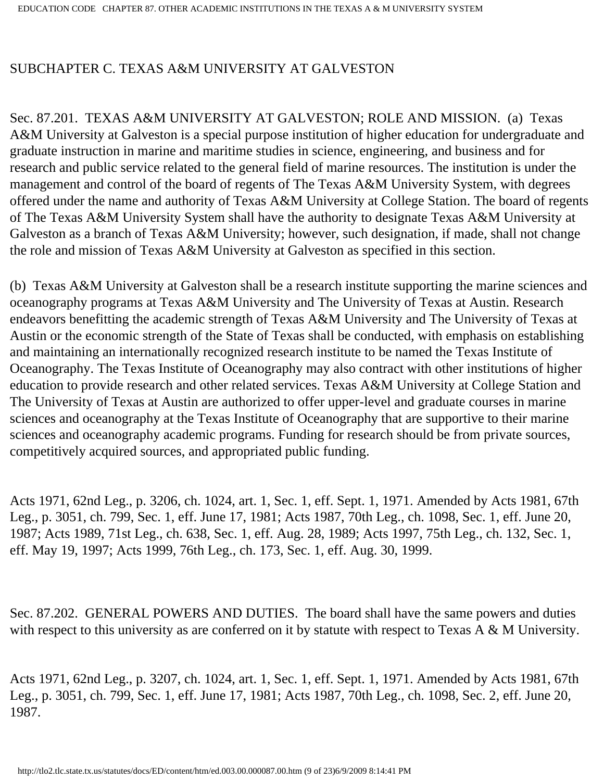## SUBCHAPTER C. TEXAS A&M UNIVERSITY AT GALVESTON

Sec. 87.201. TEXAS A&M UNIVERSITY AT GALVESTON; ROLE AND MISSION. (a) Texas A&M University at Galveston is a special purpose institution of higher education for undergraduate and graduate instruction in marine and maritime studies in science, engineering, and business and for research and public service related to the general field of marine resources. The institution is under the management and control of the board of regents of The Texas A&M University System, with degrees offered under the name and authority of Texas A&M University at College Station. The board of regents of The Texas A&M University System shall have the authority to designate Texas A&M University at Galveston as a branch of Texas A&M University; however, such designation, if made, shall not change the role and mission of Texas A&M University at Galveston as specified in this section.

(b) Texas A&M University at Galveston shall be a research institute supporting the marine sciences and oceanography programs at Texas A&M University and The University of Texas at Austin. Research endeavors benefitting the academic strength of Texas A&M University and The University of Texas at Austin or the economic strength of the State of Texas shall be conducted, with emphasis on establishing and maintaining an internationally recognized research institute to be named the Texas Institute of Oceanography. The Texas Institute of Oceanography may also contract with other institutions of higher education to provide research and other related services. Texas A&M University at College Station and The University of Texas at Austin are authorized to offer upper-level and graduate courses in marine sciences and oceanography at the Texas Institute of Oceanography that are supportive to their marine sciences and oceanography academic programs. Funding for research should be from private sources, competitively acquired sources, and appropriated public funding.

Acts 1971, 62nd Leg., p. 3206, ch. 1024, art. 1, Sec. 1, eff. Sept. 1, 1971. Amended by Acts 1981, 67th Leg., p. 3051, ch. 799, Sec. 1, eff. June 17, 1981; Acts 1987, 70th Leg., ch. 1098, Sec. 1, eff. June 20, 1987; Acts 1989, 71st Leg., ch. 638, Sec. 1, eff. Aug. 28, 1989; Acts 1997, 75th Leg., ch. 132, Sec. 1, eff. May 19, 1997; Acts 1999, 76th Leg., ch. 173, Sec. 1, eff. Aug. 30, 1999.

Sec. 87.202. GENERAL POWERS AND DUTIES. The board shall have the same powers and duties with respect to this university as are conferred on it by statute with respect to Texas A & M University.

Acts 1971, 62nd Leg., p. 3207, ch. 1024, art. 1, Sec. 1, eff. Sept. 1, 1971. Amended by Acts 1981, 67th Leg., p. 3051, ch. 799, Sec. 1, eff. June 17, 1981; Acts 1987, 70th Leg., ch. 1098, Sec. 2, eff. June 20, 1987.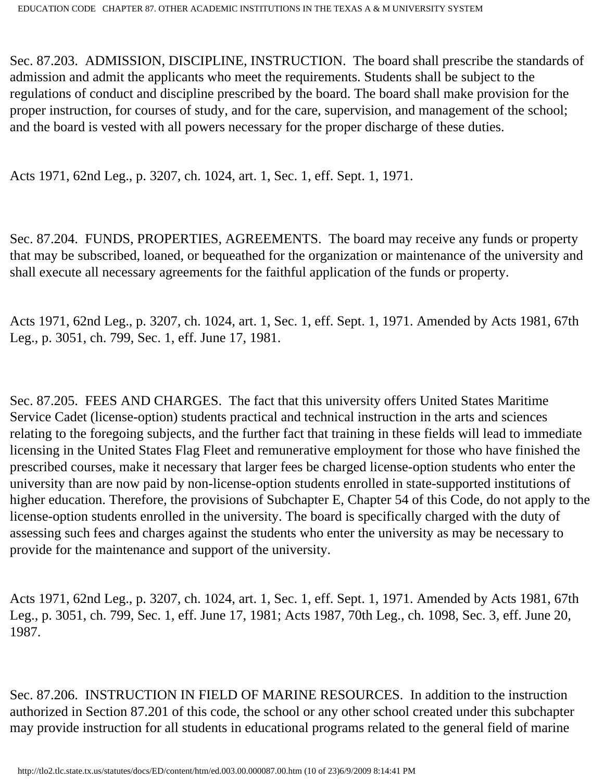Sec. 87.203. ADMISSION, DISCIPLINE, INSTRUCTION. The board shall prescribe the standards of admission and admit the applicants who meet the requirements. Students shall be subject to the regulations of conduct and discipline prescribed by the board. The board shall make provision for the proper instruction, for courses of study, and for the care, supervision, and management of the school; and the board is vested with all powers necessary for the proper discharge of these duties.

Acts 1971, 62nd Leg., p. 3207, ch. 1024, art. 1, Sec. 1, eff. Sept. 1, 1971.

Sec. 87.204. FUNDS, PROPERTIES, AGREEMENTS. The board may receive any funds or property that may be subscribed, loaned, or bequeathed for the organization or maintenance of the university and shall execute all necessary agreements for the faithful application of the funds or property.

Acts 1971, 62nd Leg., p. 3207, ch. 1024, art. 1, Sec. 1, eff. Sept. 1, 1971. Amended by Acts 1981, 67th Leg., p. 3051, ch. 799, Sec. 1, eff. June 17, 1981.

Sec. 87.205. FEES AND CHARGES. The fact that this university offers United States Maritime Service Cadet (license-option) students practical and technical instruction in the arts and sciences relating to the foregoing subjects, and the further fact that training in these fields will lead to immediate licensing in the United States Flag Fleet and remunerative employment for those who have finished the prescribed courses, make it necessary that larger fees be charged license-option students who enter the university than are now paid by non-license-option students enrolled in state-supported institutions of higher education. Therefore, the provisions of Subchapter E, Chapter 54 of this Code, do not apply to the license-option students enrolled in the university. The board is specifically charged with the duty of assessing such fees and charges against the students who enter the university as may be necessary to provide for the maintenance and support of the university.

Acts 1971, 62nd Leg., p. 3207, ch. 1024, art. 1, Sec. 1, eff. Sept. 1, 1971. Amended by Acts 1981, 67th Leg., p. 3051, ch. 799, Sec. 1, eff. June 17, 1981; Acts 1987, 70th Leg., ch. 1098, Sec. 3, eff. June 20, 1987.

Sec. 87.206. INSTRUCTION IN FIELD OF MARINE RESOURCES. In addition to the instruction authorized in Section 87.201 of this code, the school or any other school created under this subchapter may provide instruction for all students in educational programs related to the general field of marine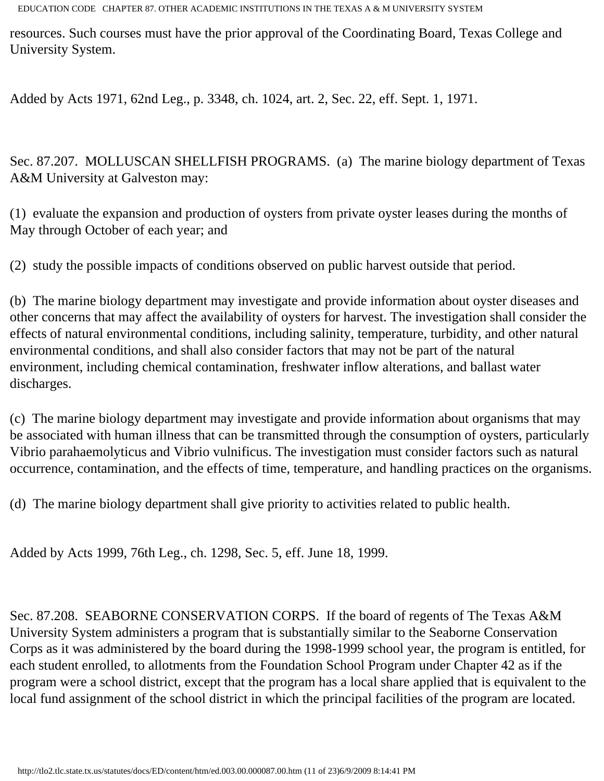resources. Such courses must have the prior approval of the Coordinating Board, Texas College and University System.

Added by Acts 1971, 62nd Leg., p. 3348, ch. 1024, art. 2, Sec. 22, eff. Sept. 1, 1971.

Sec. 87.207. MOLLUSCAN SHELLFISH PROGRAMS. (a) The marine biology department of Texas A&M University at Galveston may:

(1) evaluate the expansion and production of oysters from private oyster leases during the months of May through October of each year; and

(2) study the possible impacts of conditions observed on public harvest outside that period.

(b) The marine biology department may investigate and provide information about oyster diseases and other concerns that may affect the availability of oysters for harvest. The investigation shall consider the effects of natural environmental conditions, including salinity, temperature, turbidity, and other natural environmental conditions, and shall also consider factors that may not be part of the natural environment, including chemical contamination, freshwater inflow alterations, and ballast water discharges.

(c) The marine biology department may investigate and provide information about organisms that may be associated with human illness that can be transmitted through the consumption of oysters, particularly Vibrio parahaemolyticus and Vibrio vulnificus. The investigation must consider factors such as natural occurrence, contamination, and the effects of time, temperature, and handling practices on the organisms.

(d) The marine biology department shall give priority to activities related to public health.

Added by Acts 1999, 76th Leg., ch. 1298, Sec. 5, eff. June 18, 1999.

Sec. 87.208. SEABORNE CONSERVATION CORPS. If the board of regents of The Texas A&M University System administers a program that is substantially similar to the Seaborne Conservation Corps as it was administered by the board during the 1998-1999 school year, the program is entitled, for each student enrolled, to allotments from the Foundation School Program under Chapter 42 as if the program were a school district, except that the program has a local share applied that is equivalent to the local fund assignment of the school district in which the principal facilities of the program are located.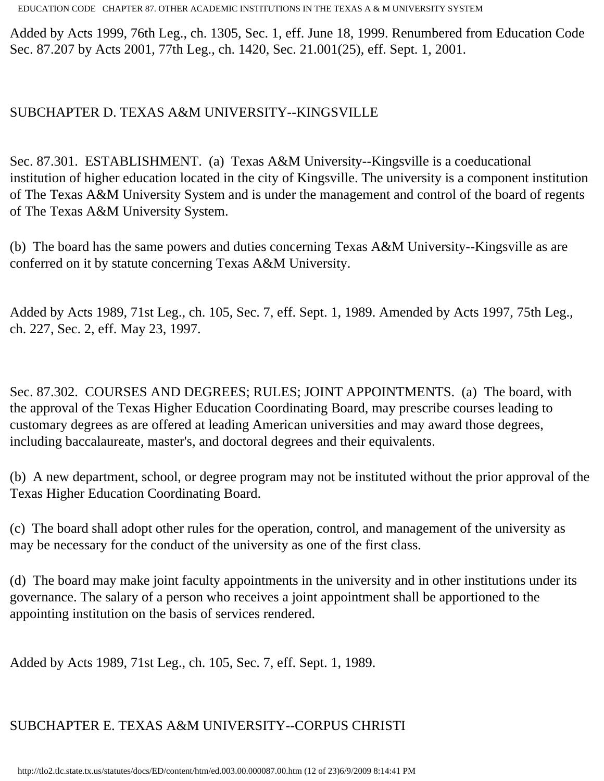Added by Acts 1999, 76th Leg., ch. 1305, Sec. 1, eff. June 18, 1999. Renumbered from Education Code Sec. 87.207 by Acts 2001, 77th Leg., ch. 1420, Sec. 21.001(25), eff. Sept. 1, 2001.

#### SUBCHAPTER D. TEXAS A&M UNIVERSITY--KINGSVILLE

Sec. 87.301. ESTABLISHMENT. (a) Texas A&M University--Kingsville is a coeducational institution of higher education located in the city of Kingsville. The university is a component institution of The Texas A&M University System and is under the management and control of the board of regents of The Texas A&M University System.

(b) The board has the same powers and duties concerning Texas A&M University--Kingsville as are conferred on it by statute concerning Texas A&M University.

Added by Acts 1989, 71st Leg., ch. 105, Sec. 7, eff. Sept. 1, 1989. Amended by Acts 1997, 75th Leg., ch. 227, Sec. 2, eff. May 23, 1997.

Sec. 87.302. COURSES AND DEGREES; RULES; JOINT APPOINTMENTS. (a) The board, with the approval of the Texas Higher Education Coordinating Board, may prescribe courses leading to customary degrees as are offered at leading American universities and may award those degrees, including baccalaureate, master's, and doctoral degrees and their equivalents.

(b) A new department, school, or degree program may not be instituted without the prior approval of the Texas Higher Education Coordinating Board.

(c) The board shall adopt other rules for the operation, control, and management of the university as may be necessary for the conduct of the university as one of the first class.

(d) The board may make joint faculty appointments in the university and in other institutions under its governance. The salary of a person who receives a joint appointment shall be apportioned to the appointing institution on the basis of services rendered.

Added by Acts 1989, 71st Leg., ch. 105, Sec. 7, eff. Sept. 1, 1989.

# SUBCHAPTER E. TEXAS A&M UNIVERSITY--CORPUS CHRISTI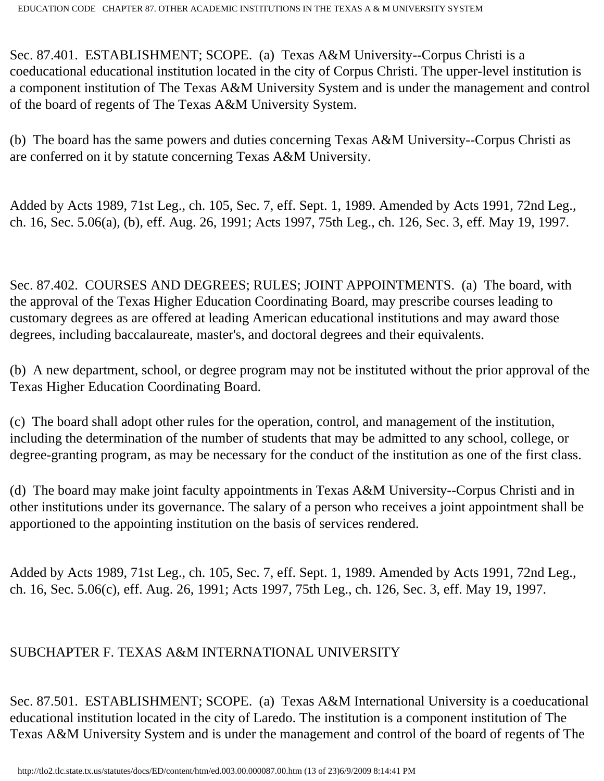Sec. 87.401. ESTABLISHMENT; SCOPE. (a) Texas A&M University--Corpus Christi is a coeducational educational institution located in the city of Corpus Christi. The upper-level institution is a component institution of The Texas A&M University System and is under the management and control of the board of regents of The Texas A&M University System.

(b) The board has the same powers and duties concerning Texas A&M University--Corpus Christi as are conferred on it by statute concerning Texas A&M University.

Added by Acts 1989, 71st Leg., ch. 105, Sec. 7, eff. Sept. 1, 1989. Amended by Acts 1991, 72nd Leg., ch. 16, Sec. 5.06(a), (b), eff. Aug. 26, 1991; Acts 1997, 75th Leg., ch. 126, Sec. 3, eff. May 19, 1997.

Sec. 87.402. COURSES AND DEGREES; RULES; JOINT APPOINTMENTS. (a) The board, with the approval of the Texas Higher Education Coordinating Board, may prescribe courses leading to customary degrees as are offered at leading American educational institutions and may award those degrees, including baccalaureate, master's, and doctoral degrees and their equivalents.

(b) A new department, school, or degree program may not be instituted without the prior approval of the Texas Higher Education Coordinating Board.

(c) The board shall adopt other rules for the operation, control, and management of the institution, including the determination of the number of students that may be admitted to any school, college, or degree-granting program, as may be necessary for the conduct of the institution as one of the first class.

(d) The board may make joint faculty appointments in Texas A&M University--Corpus Christi and in other institutions under its governance. The salary of a person who receives a joint appointment shall be apportioned to the appointing institution on the basis of services rendered.

Added by Acts 1989, 71st Leg., ch. 105, Sec. 7, eff. Sept. 1, 1989. Amended by Acts 1991, 72nd Leg., ch. 16, Sec. 5.06(c), eff. Aug. 26, 1991; Acts 1997, 75th Leg., ch. 126, Sec. 3, eff. May 19, 1997.

## SUBCHAPTER F. TEXAS A&M INTERNATIONAL UNIVERSITY

Sec. 87.501. ESTABLISHMENT; SCOPE. (a) Texas A&M International University is a coeducational educational institution located in the city of Laredo. The institution is a component institution of The Texas A&M University System and is under the management and control of the board of regents of The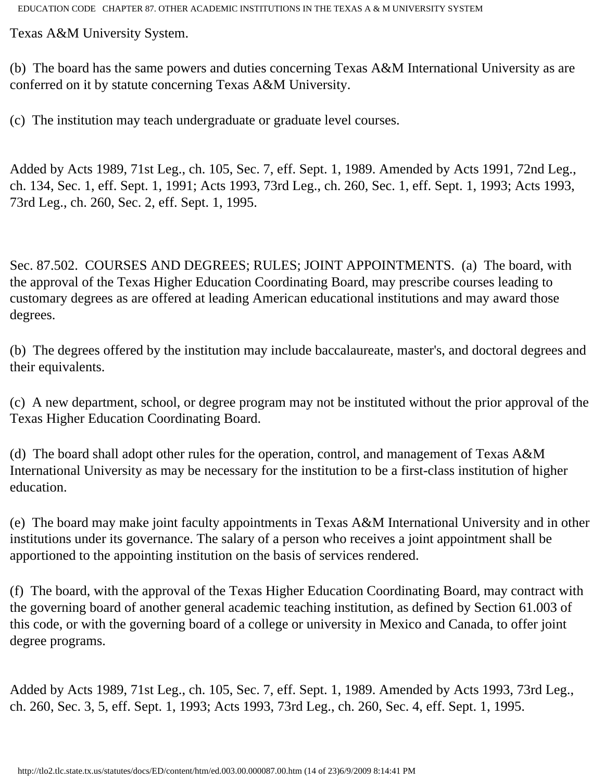Texas A&M University System.

(b) The board has the same powers and duties concerning Texas A&M International University as are conferred on it by statute concerning Texas A&M University.

(c) The institution may teach undergraduate or graduate level courses.

Added by Acts 1989, 71st Leg., ch. 105, Sec. 7, eff. Sept. 1, 1989. Amended by Acts 1991, 72nd Leg., ch. 134, Sec. 1, eff. Sept. 1, 1991; Acts 1993, 73rd Leg., ch. 260, Sec. 1, eff. Sept. 1, 1993; Acts 1993, 73rd Leg., ch. 260, Sec. 2, eff. Sept. 1, 1995.

Sec. 87.502. COURSES AND DEGREES; RULES; JOINT APPOINTMENTS. (a) The board, with the approval of the Texas Higher Education Coordinating Board, may prescribe courses leading to customary degrees as are offered at leading American educational institutions and may award those degrees.

(b) The degrees offered by the institution may include baccalaureate, master's, and doctoral degrees and their equivalents.

(c) A new department, school, or degree program may not be instituted without the prior approval of the Texas Higher Education Coordinating Board.

(d) The board shall adopt other rules for the operation, control, and management of Texas A&M International University as may be necessary for the institution to be a first-class institution of higher education.

(e) The board may make joint faculty appointments in Texas A&M International University and in other institutions under its governance. The salary of a person who receives a joint appointment shall be apportioned to the appointing institution on the basis of services rendered.

(f) The board, with the approval of the Texas Higher Education Coordinating Board, may contract with the governing board of another general academic teaching institution, as defined by Section 61.003 of this code, or with the governing board of a college or university in Mexico and Canada, to offer joint degree programs.

Added by Acts 1989, 71st Leg., ch. 105, Sec. 7, eff. Sept. 1, 1989. Amended by Acts 1993, 73rd Leg., ch. 260, Sec. 3, 5, eff. Sept. 1, 1993; Acts 1993, 73rd Leg., ch. 260, Sec. 4, eff. Sept. 1, 1995.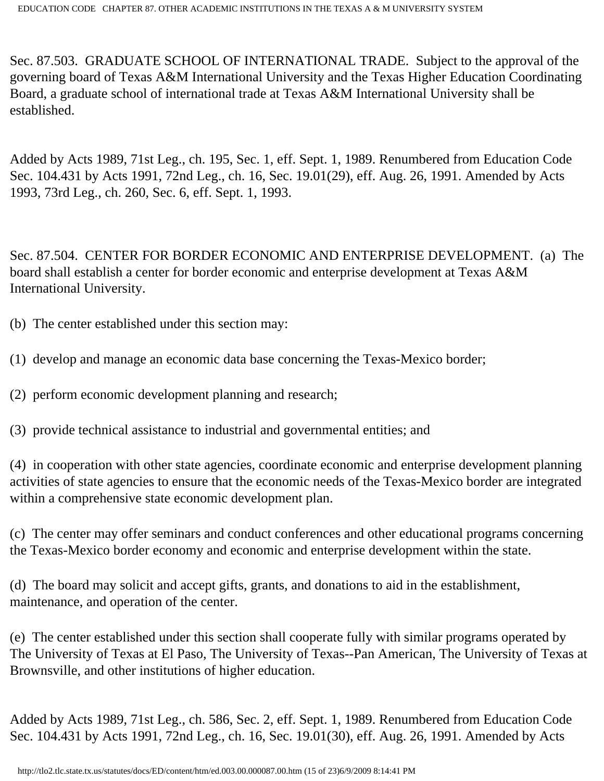Sec. 87.503. GRADUATE SCHOOL OF INTERNATIONAL TRADE. Subject to the approval of the governing board of Texas A&M International University and the Texas Higher Education Coordinating Board, a graduate school of international trade at Texas A&M International University shall be established.

Added by Acts 1989, 71st Leg., ch. 195, Sec. 1, eff. Sept. 1, 1989. Renumbered from Education Code Sec. 104.431 by Acts 1991, 72nd Leg., ch. 16, Sec. 19.01(29), eff. Aug. 26, 1991. Amended by Acts 1993, 73rd Leg., ch. 260, Sec. 6, eff. Sept. 1, 1993.

Sec. 87.504. CENTER FOR BORDER ECONOMIC AND ENTERPRISE DEVELOPMENT. (a) The board shall establish a center for border economic and enterprise development at Texas A&M International University.

(b) The center established under this section may:

(1) develop and manage an economic data base concerning the Texas-Mexico border;

(2) perform economic development planning and research;

(3) provide technical assistance to industrial and governmental entities; and

(4) in cooperation with other state agencies, coordinate economic and enterprise development planning activities of state agencies to ensure that the economic needs of the Texas-Mexico border are integrated within a comprehensive state economic development plan.

(c) The center may offer seminars and conduct conferences and other educational programs concerning the Texas-Mexico border economy and economic and enterprise development within the state.

(d) The board may solicit and accept gifts, grants, and donations to aid in the establishment, maintenance, and operation of the center.

(e) The center established under this section shall cooperate fully with similar programs operated by The University of Texas at El Paso, The University of Texas--Pan American, The University of Texas at Brownsville, and other institutions of higher education.

Added by Acts 1989, 71st Leg., ch. 586, Sec. 2, eff. Sept. 1, 1989. Renumbered from Education Code Sec. 104.431 by Acts 1991, 72nd Leg., ch. 16, Sec. 19.01(30), eff. Aug. 26, 1991. Amended by Acts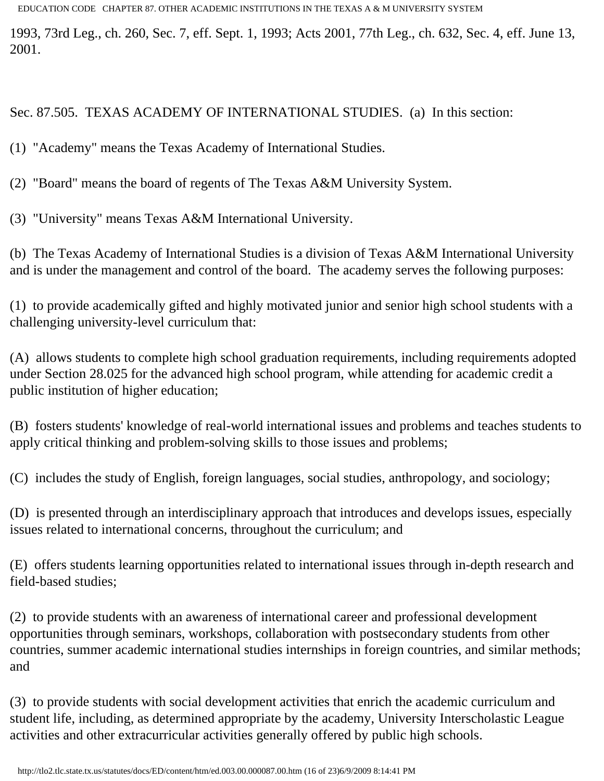1993, 73rd Leg., ch. 260, Sec. 7, eff. Sept. 1, 1993; Acts 2001, 77th Leg., ch. 632, Sec. 4, eff. June 13, 2001.

Sec. 87.505. TEXAS ACADEMY OF INTERNATIONAL STUDIES. (a) In this section:

(1) "Academy" means the Texas Academy of International Studies.

(2) "Board" means the board of regents of The Texas A&M University System.

(3) "University" means Texas A&M International University.

(b) The Texas Academy of International Studies is a division of Texas A&M International University and is under the management and control of the board. The academy serves the following purposes:

(1) to provide academically gifted and highly motivated junior and senior high school students with a challenging university-level curriculum that:

(A) allows students to complete high school graduation requirements, including requirements adopted under Section 28.025 for the advanced high school program, while attending for academic credit a public institution of higher education;

(B) fosters students' knowledge of real-world international issues and problems and teaches students to apply critical thinking and problem-solving skills to those issues and problems;

(C) includes the study of English, foreign languages, social studies, anthropology, and sociology;

(D) is presented through an interdisciplinary approach that introduces and develops issues, especially issues related to international concerns, throughout the curriculum; and

(E) offers students learning opportunities related to international issues through in-depth research and field-based studies;

(2) to provide students with an awareness of international career and professional development opportunities through seminars, workshops, collaboration with postsecondary students from other countries, summer academic international studies internships in foreign countries, and similar methods; and

(3) to provide students with social development activities that enrich the academic curriculum and student life, including, as determined appropriate by the academy, University Interscholastic League activities and other extracurricular activities generally offered by public high schools.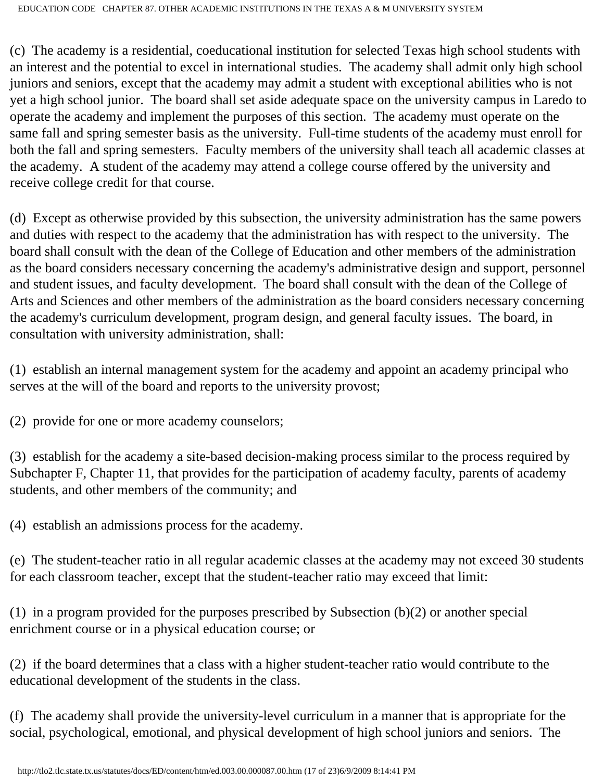(c) The academy is a residential, coeducational institution for selected Texas high school students with an interest and the potential to excel in international studies. The academy shall admit only high school juniors and seniors, except that the academy may admit a student with exceptional abilities who is not yet a high school junior. The board shall set aside adequate space on the university campus in Laredo to operate the academy and implement the purposes of this section. The academy must operate on the same fall and spring semester basis as the university. Full-time students of the academy must enroll for both the fall and spring semesters. Faculty members of the university shall teach all academic classes at the academy. A student of the academy may attend a college course offered by the university and receive college credit for that course.

(d) Except as otherwise provided by this subsection, the university administration has the same powers and duties with respect to the academy that the administration has with respect to the university. The board shall consult with the dean of the College of Education and other members of the administration as the board considers necessary concerning the academy's administrative design and support, personnel and student issues, and faculty development. The board shall consult with the dean of the College of Arts and Sciences and other members of the administration as the board considers necessary concerning the academy's curriculum development, program design, and general faculty issues. The board, in consultation with university administration, shall:

(1) establish an internal management system for the academy and appoint an academy principal who serves at the will of the board and reports to the university provost;

(2) provide for one or more academy counselors;

(3) establish for the academy a site-based decision-making process similar to the process required by Subchapter F, Chapter 11, that provides for the participation of academy faculty, parents of academy students, and other members of the community; and

(4) establish an admissions process for the academy.

(e) The student-teacher ratio in all regular academic classes at the academy may not exceed 30 students for each classroom teacher, except that the student-teacher ratio may exceed that limit:

(1) in a program provided for the purposes prescribed by Subsection (b)(2) or another special enrichment course or in a physical education course; or

(2) if the board determines that a class with a higher student-teacher ratio would contribute to the educational development of the students in the class.

(f) The academy shall provide the university-level curriculum in a manner that is appropriate for the social, psychological, emotional, and physical development of high school juniors and seniors. The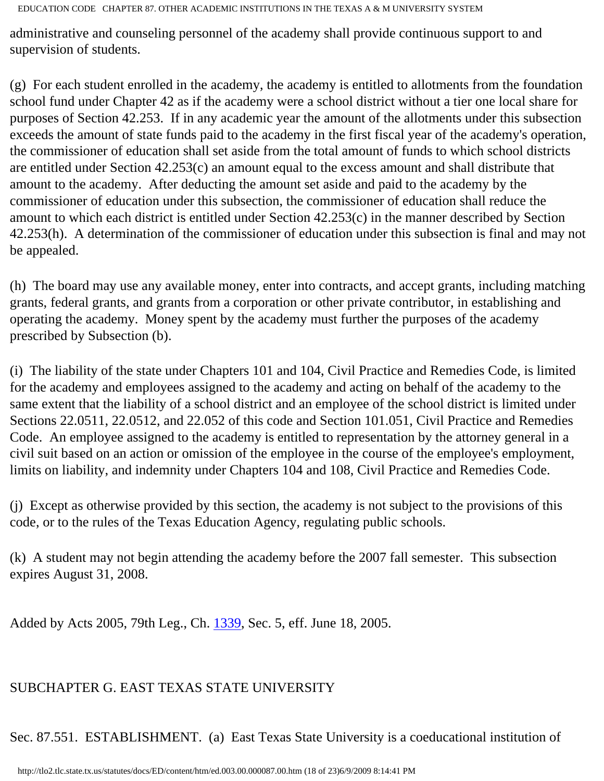administrative and counseling personnel of the academy shall provide continuous support to and supervision of students.

(g) For each student enrolled in the academy, the academy is entitled to allotments from the foundation school fund under Chapter 42 as if the academy were a school district without a tier one local share for purposes of Section 42.253. If in any academic year the amount of the allotments under this subsection exceeds the amount of state funds paid to the academy in the first fiscal year of the academy's operation, the commissioner of education shall set aside from the total amount of funds to which school districts are entitled under Section 42.253(c) an amount equal to the excess amount and shall distribute that amount to the academy. After deducting the amount set aside and paid to the academy by the commissioner of education under this subsection, the commissioner of education shall reduce the amount to which each district is entitled under Section 42.253(c) in the manner described by Section 42.253(h). A determination of the commissioner of education under this subsection is final and may not be appealed.

(h) The board may use any available money, enter into contracts, and accept grants, including matching grants, federal grants, and grants from a corporation or other private contributor, in establishing and operating the academy. Money spent by the academy must further the purposes of the academy prescribed by Subsection (b).

(i) The liability of the state under Chapters 101 and 104, Civil Practice and Remedies Code, is limited for the academy and employees assigned to the academy and acting on behalf of the academy to the same extent that the liability of a school district and an employee of the school district is limited under Sections 22.0511, 22.0512, and 22.052 of this code and Section 101.051, Civil Practice and Remedies Code. An employee assigned to the academy is entitled to representation by the attorney general in a civil suit based on an action or omission of the employee in the course of the employee's employment, limits on liability, and indemnity under Chapters 104 and 108, Civil Practice and Remedies Code.

(j) Except as otherwise provided by this section, the academy is not subject to the provisions of this code, or to the rules of the Texas Education Agency, regulating public schools.

(k) A student may not begin attending the academy before the 2007 fall semester. This subsection expires August 31, 2008.

Added by Acts 2005, 79th Leg., Ch. [1339](http://www.legis.state.tx.us/tlodocs/79R/billtext/html/SB00151F.HTM), Sec. 5, eff. June 18, 2005.

## SUBCHAPTER G. EAST TEXAS STATE UNIVERSITY

Sec. 87.551. ESTABLISHMENT. (a) East Texas State University is a coeducational institution of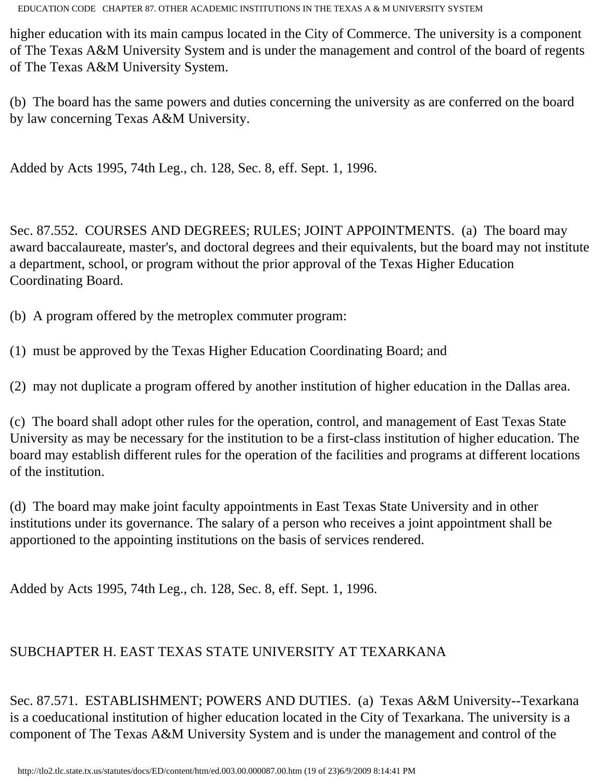higher education with its main campus located in the City of Commerce. The university is a component of The Texas A&M University System and is under the management and control of the board of regents of The Texas A&M University System.

(b) The board has the same powers and duties concerning the university as are conferred on the board by law concerning Texas A&M University.

Added by Acts 1995, 74th Leg., ch. 128, Sec. 8, eff. Sept. 1, 1996.

Sec. 87.552. COURSES AND DEGREES; RULES; JOINT APPOINTMENTS. (a) The board may award baccalaureate, master's, and doctoral degrees and their equivalents, but the board may not institute a department, school, or program without the prior approval of the Texas Higher Education Coordinating Board.

(b) A program offered by the metroplex commuter program:

(1) must be approved by the Texas Higher Education Coordinating Board; and

(2) may not duplicate a program offered by another institution of higher education in the Dallas area.

(c) The board shall adopt other rules for the operation, control, and management of East Texas State University as may be necessary for the institution to be a first-class institution of higher education. The board may establish different rules for the operation of the facilities and programs at different locations of the institution.

(d) The board may make joint faculty appointments in East Texas State University and in other institutions under its governance. The salary of a person who receives a joint appointment shall be apportioned to the appointing institutions on the basis of services rendered.

Added by Acts 1995, 74th Leg., ch. 128, Sec. 8, eff. Sept. 1, 1996.

# SUBCHAPTER H. EAST TEXAS STATE UNIVERSITY AT TEXARKANA

Sec. 87.571. ESTABLISHMENT; POWERS AND DUTIES. (a) Texas A&M University--Texarkana is a coeducational institution of higher education located in the City of Texarkana. The university is a component of The Texas A&M University System and is under the management and control of the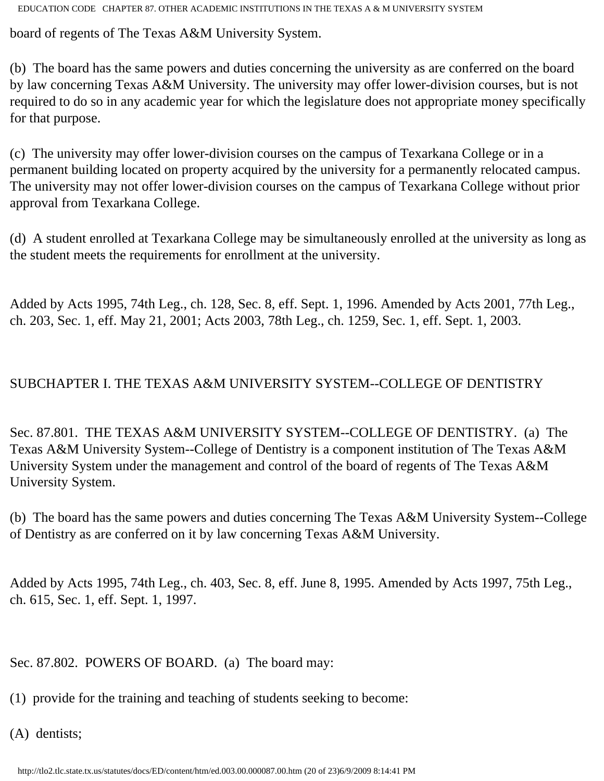board of regents of The Texas A&M University System.

(b) The board has the same powers and duties concerning the university as are conferred on the board by law concerning Texas A&M University. The university may offer lower-division courses, but is not required to do so in any academic year for which the legislature does not appropriate money specifically for that purpose.

(c) The university may offer lower-division courses on the campus of Texarkana College or in a permanent building located on property acquired by the university for a permanently relocated campus. The university may not offer lower-division courses on the campus of Texarkana College without prior approval from Texarkana College.

(d) A student enrolled at Texarkana College may be simultaneously enrolled at the university as long as the student meets the requirements for enrollment at the university.

Added by Acts 1995, 74th Leg., ch. 128, Sec. 8, eff. Sept. 1, 1996. Amended by Acts 2001, 77th Leg., ch. 203, Sec. 1, eff. May 21, 2001; Acts 2003, 78th Leg., ch. 1259, Sec. 1, eff. Sept. 1, 2003.

## SUBCHAPTER I. THE TEXAS A&M UNIVERSITY SYSTEM--COLLEGE OF DENTISTRY

Sec. 87.801. THE TEXAS A&M UNIVERSITY SYSTEM--COLLEGE OF DENTISTRY. (a) The Texas A&M University System--College of Dentistry is a component institution of The Texas A&M University System under the management and control of the board of regents of The Texas A&M University System.

(b) The board has the same powers and duties concerning The Texas A&M University System--College of Dentistry as are conferred on it by law concerning Texas A&M University.

Added by Acts 1995, 74th Leg., ch. 403, Sec. 8, eff. June 8, 1995. Amended by Acts 1997, 75th Leg., ch. 615, Sec. 1, eff. Sept. 1, 1997.

Sec. 87.802. POWERS OF BOARD. (a) The board may:

(1) provide for the training and teaching of students seeking to become:

(A) dentists;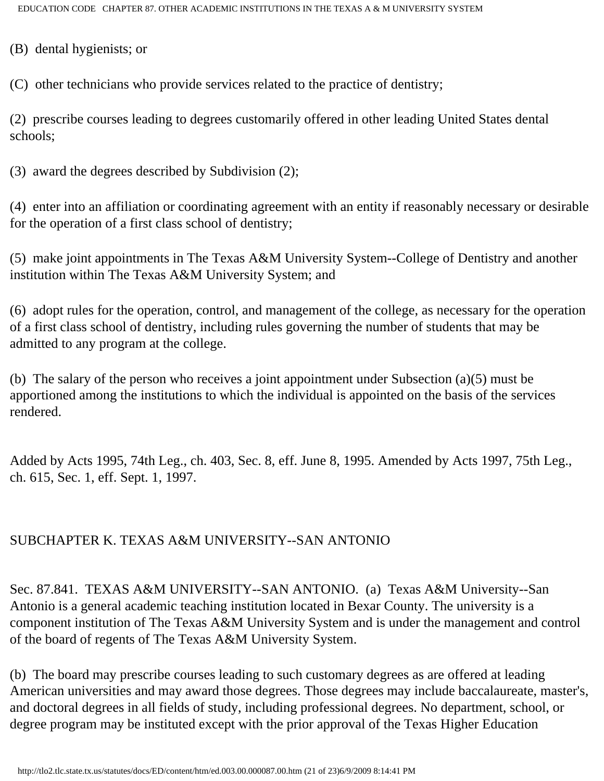(B) dental hygienists; or

(C) other technicians who provide services related to the practice of dentistry;

(2) prescribe courses leading to degrees customarily offered in other leading United States dental schools;

(3) award the degrees described by Subdivision (2);

(4) enter into an affiliation or coordinating agreement with an entity if reasonably necessary or desirable for the operation of a first class school of dentistry;

(5) make joint appointments in The Texas A&M University System--College of Dentistry and another institution within The Texas A&M University System; and

(6) adopt rules for the operation, control, and management of the college, as necessary for the operation of a first class school of dentistry, including rules governing the number of students that may be admitted to any program at the college.

(b) The salary of the person who receives a joint appointment under Subsection (a)(5) must be apportioned among the institutions to which the individual is appointed on the basis of the services rendered.

Added by Acts 1995, 74th Leg., ch. 403, Sec. 8, eff. June 8, 1995. Amended by Acts 1997, 75th Leg., ch. 615, Sec. 1, eff. Sept. 1, 1997.

## SUBCHAPTER K. TEXAS A&M UNIVERSITY--SAN ANTONIO

Sec. 87.841. TEXAS A&M UNIVERSITY--SAN ANTONIO. (a) Texas A&M University--San Antonio is a general academic teaching institution located in Bexar County. The university is a component institution of The Texas A&M University System and is under the management and control of the board of regents of The Texas A&M University System.

(b) The board may prescribe courses leading to such customary degrees as are offered at leading American universities and may award those degrees. Those degrees may include baccalaureate, master's, and doctoral degrees in all fields of study, including professional degrees. No department, school, or degree program may be instituted except with the prior approval of the Texas Higher Education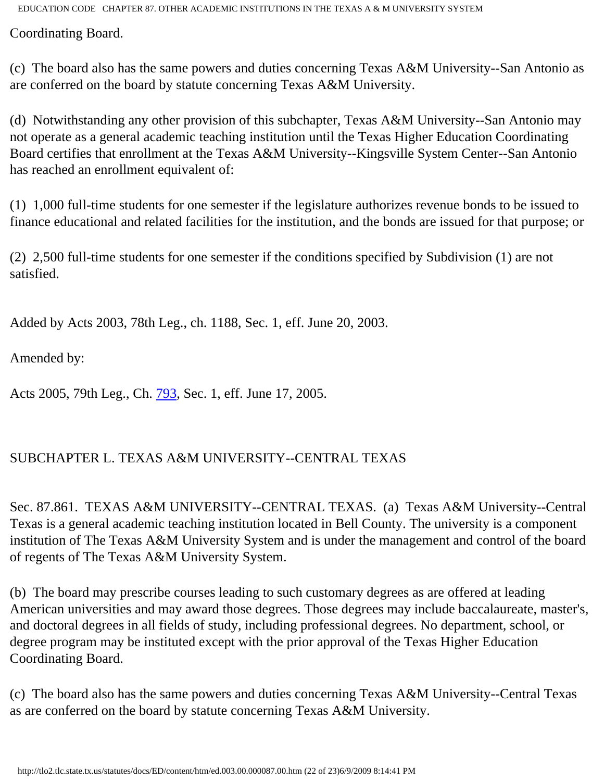Coordinating Board.

(c) The board also has the same powers and duties concerning Texas A&M University--San Antonio as are conferred on the board by statute concerning Texas A&M University.

(d) Notwithstanding any other provision of this subchapter, Texas A&M University--San Antonio may not operate as a general academic teaching institution until the Texas Higher Education Coordinating Board certifies that enrollment at the Texas A&M University--Kingsville System Center--San Antonio has reached an enrollment equivalent of:

(1) 1,000 full-time students for one semester if the legislature authorizes revenue bonds to be issued to finance educational and related facilities for the institution, and the bonds are issued for that purpose; or

(2) 2,500 full-time students for one semester if the conditions specified by Subdivision (1) are not satisfied.

Added by Acts 2003, 78th Leg., ch. 1188, Sec. 1, eff. June 20, 2003.

Amended by:

Acts 2005, 79th Leg., Ch. [793](http://www.legis.state.tx.us/tlodocs/79R/billtext/html/SB00296F.HTM), Sec. 1, eff. June 17, 2005.

## SUBCHAPTER L. TEXAS A&M UNIVERSITY--CENTRAL TEXAS

Sec. 87.861. TEXAS A&M UNIVERSITY--CENTRAL TEXAS. (a) Texas A&M University--Central Texas is a general academic teaching institution located in Bell County. The university is a component institution of The Texas A&M University System and is under the management and control of the board of regents of The Texas A&M University System.

(b) The board may prescribe courses leading to such customary degrees as are offered at leading American universities and may award those degrees. Those degrees may include baccalaureate, master's, and doctoral degrees in all fields of study, including professional degrees. No department, school, or degree program may be instituted except with the prior approval of the Texas Higher Education Coordinating Board.

(c) The board also has the same powers and duties concerning Texas A&M University--Central Texas as are conferred on the board by statute concerning Texas A&M University.